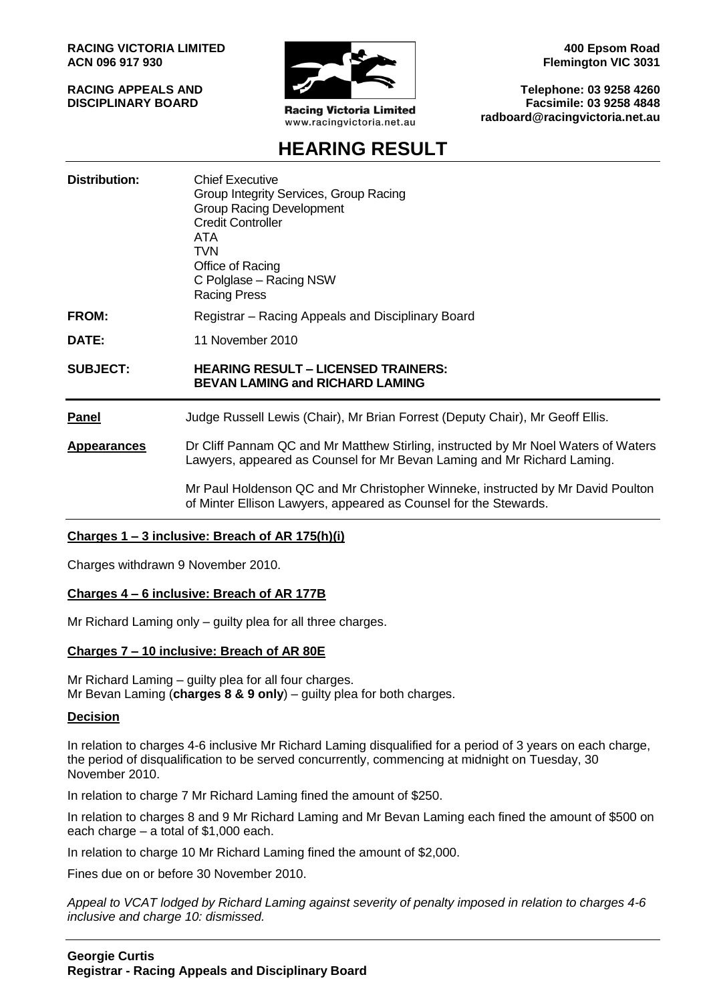**RACING VICTORIA LIMITED ACN 096 917 930**

**RACING APPEALS AND DISCIPLINARY BOARD**



**Racing Victoria Limited** www.racingvictoria.net.au

**400 Epsom Road Flemington VIC 3031**

**Telephone: 03 9258 4260 Facsimile: 03 9258 4848 radboard@racingvictoria.net.au**

# **HEARING RESULT**

| Distribution:      | <b>Chief Executive</b><br>Group Integrity Services, Group Racing<br><b>Group Racing Development</b><br><b>Credit Controller</b><br>ATA<br>TVN<br>Office of Racing<br>C Polglase - Racing NSW<br><b>Racing Press</b> |
|--------------------|---------------------------------------------------------------------------------------------------------------------------------------------------------------------------------------------------------------------|
| FROM:              | Registrar – Racing Appeals and Disciplinary Board                                                                                                                                                                   |
| DATE:              | 11 November 2010                                                                                                                                                                                                    |
| <b>SUBJECT:</b>    | <b>HEARING RESULT - LICENSED TRAINERS:</b><br><b>BEVAN LAMING and RICHARD LAMING</b>                                                                                                                                |
| <b>Panel</b>       | Judge Russell Lewis (Chair), Mr Brian Forrest (Deputy Chair), Mr Geoff Ellis.                                                                                                                                       |
| <b>Appearances</b> | Dr Cliff Pannam QC and Mr Matthew Stirling, instructed by Mr Noel Waters of Waters<br>Lawyers, appeared as Counsel for Mr Bevan Laming and Mr Richard Laming.                                                       |
|                    | Mr Paul Holdenson QC and Mr Christopher Winneke, instructed by Mr David Poulton                                                                                                                                     |

of Minter Ellison Lawyers, appeared as Counsel for the Stewards.

## **Charges 1 – 3 inclusive: Breach of AR 175(h)(i)**

Charges withdrawn 9 November 2010.

## **Charges 4 – 6 inclusive: Breach of AR 177B**

Mr Richard Laming only – guilty plea for all three charges.

## **Charges 7 – 10 inclusive: Breach of AR 80E**

Mr Richard Laming – guilty plea for all four charges. Mr Bevan Laming (**charges 8 & 9 only**) – guilty plea for both charges.

## **Decision**

In relation to charges 4-6 inclusive Mr Richard Laming disqualified for a period of 3 years on each charge, the period of disqualification to be served concurrently, commencing at midnight on Tuesday, 30 November 2010.

In relation to charge 7 Mr Richard Laming fined the amount of \$250.

In relation to charges 8 and 9 Mr Richard Laming and Mr Bevan Laming each fined the amount of \$500 on each charge – a total of \$1,000 each.

In relation to charge 10 Mr Richard Laming fined the amount of \$2,000.

Fines due on or before 30 November 2010.

*Appeal to VCAT lodged by Richard Laming against severity of penalty imposed in relation to charges 4-6 inclusive and charge 10: dismissed.*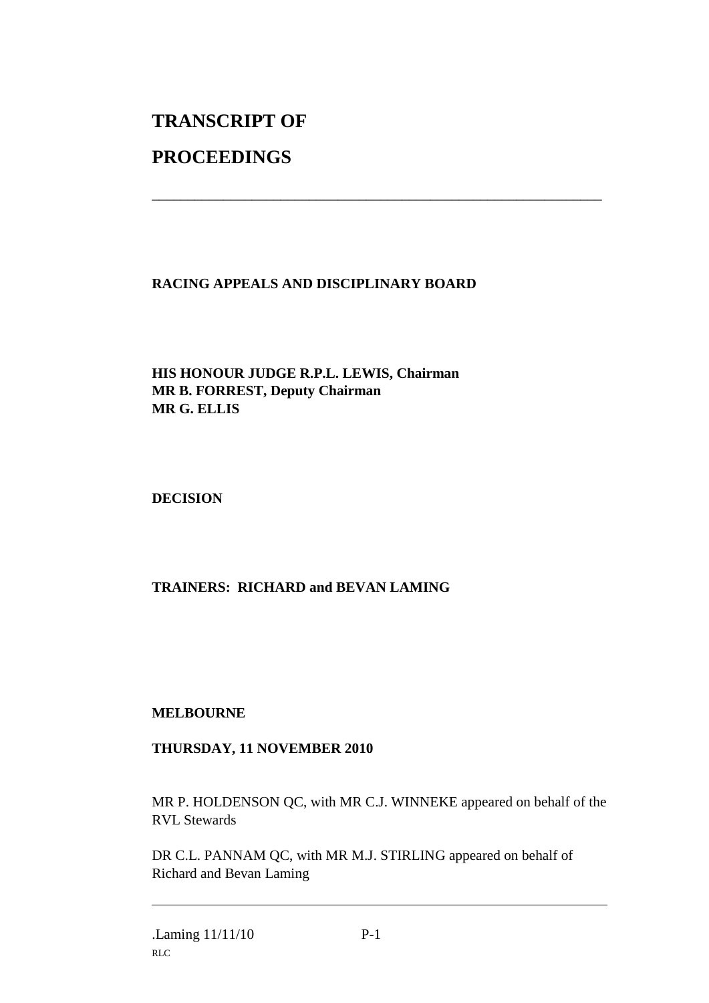# **TRANSCRIPT OF**

# **PROCEEDINGS**

# **RACING APPEALS AND DISCIPLINARY BOARD**

\_\_\_\_\_\_\_\_\_\_\_\_\_\_\_\_\_\_\_\_\_\_\_\_\_\_\_\_\_\_\_\_\_\_\_\_\_\_\_\_\_\_\_\_\_\_\_\_\_\_\_\_\_\_\_\_\_\_\_\_\_\_\_

**HIS HONOUR JUDGE R.P.L. LEWIS, Chairman MR B. FORREST, Deputy Chairman MR G. ELLIS**

**DECISION**

# **TRAINERS: RICHARD and BEVAN LAMING**

## **MELBOURNE**

# **THURSDAY, 11 NOVEMBER 2010**

MR P. HOLDENSON QC, with MR C.J. WINNEKE appeared on behalf of the RVL Stewards

DR C.L. PANNAM QC, with MR M.J. STIRLING appeared on behalf of Richard and Bevan Laming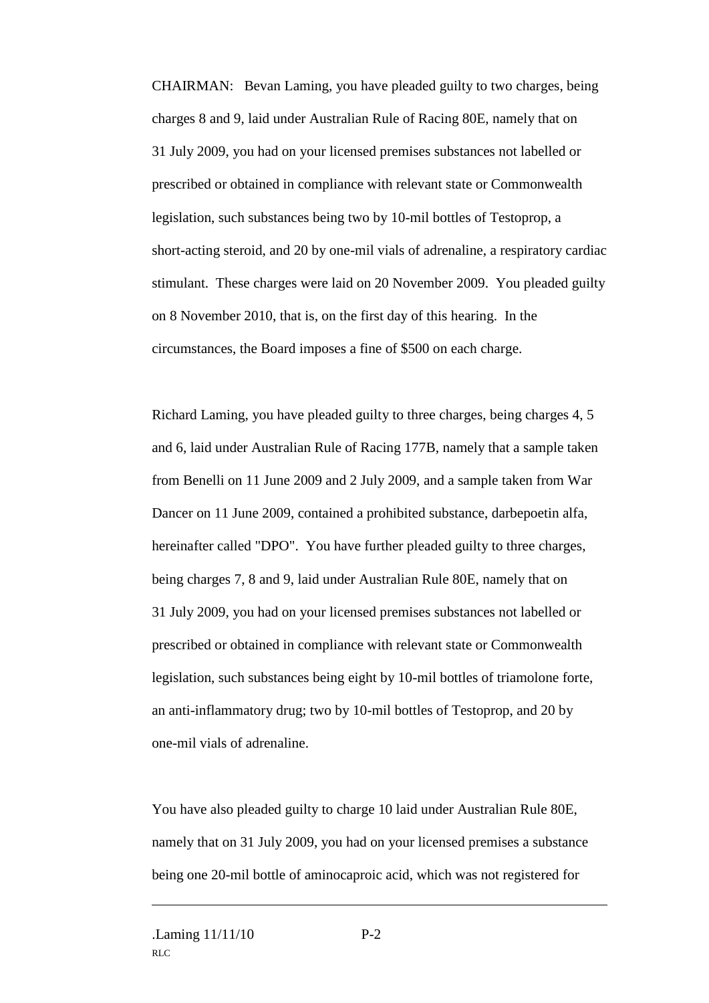CHAIRMAN: Bevan Laming, you have pleaded guilty to two charges, being charges 8 and 9, laid under Australian Rule of Racing 80E, namely that on 31 July 2009, you had on your licensed premises substances not labelled or prescribed or obtained in compliance with relevant state or Commonwealth legislation, such substances being two by 10-mil bottles of Testoprop, a short-acting steroid, and 20 by one-mil vials of adrenaline, a respiratory cardiac stimulant. These charges were laid on 20 November 2009. You pleaded guilty on 8 November 2010, that is, on the first day of this hearing. In the circumstances, the Board imposes a fine of \$500 on each charge.

Richard Laming, you have pleaded guilty to three charges, being charges 4, 5 and 6, laid under Australian Rule of Racing 177B, namely that a sample taken from Benelli on 11 June 2009 and 2 July 2009, and a sample taken from War Dancer on 11 June 2009, contained a prohibited substance, darbepoetin alfa, hereinafter called "DPO". You have further pleaded guilty to three charges, being charges 7, 8 and 9, laid under Australian Rule 80E, namely that on 31 July 2009, you had on your licensed premises substances not labelled or prescribed or obtained in compliance with relevant state or Commonwealth legislation, such substances being eight by 10-mil bottles of triamolone forte, an anti-inflammatory drug; two by 10-mil bottles of Testoprop, and 20 by one-mil vials of adrenaline.

You have also pleaded guilty to charge 10 laid under Australian Rule 80E, namely that on 31 July 2009, you had on your licensed premises a substance being one 20-mil bottle of aminocaproic acid, which was not registered for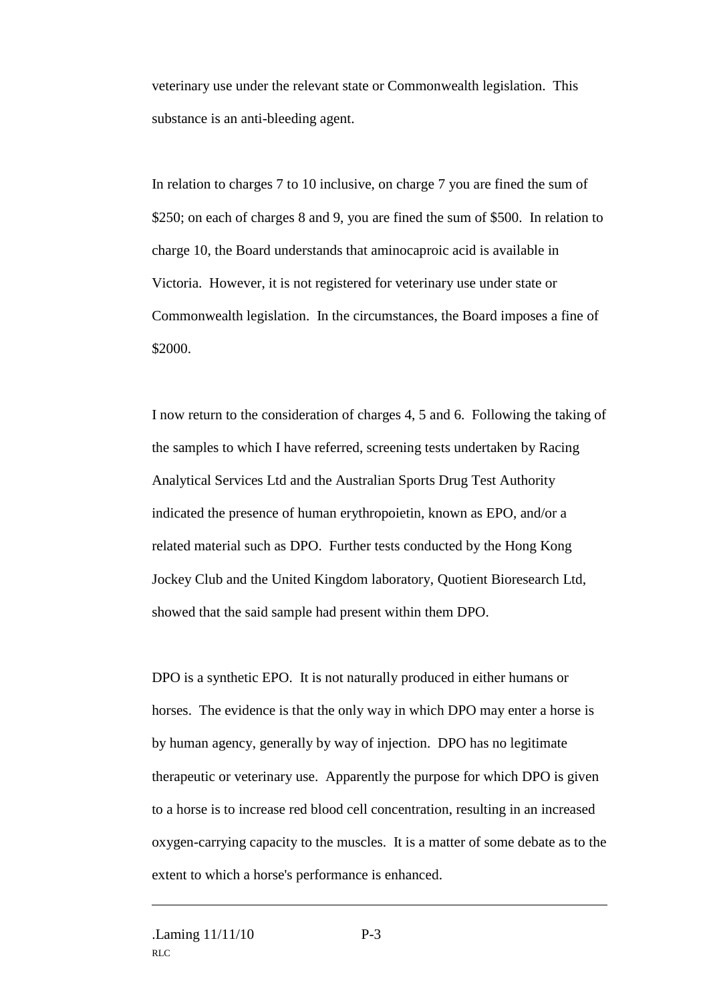veterinary use under the relevant state or Commonwealth legislation. This substance is an anti-bleeding agent.

In relation to charges 7 to 10 inclusive, on charge 7 you are fined the sum of \$250; on each of charges 8 and 9, you are fined the sum of \$500. In relation to charge 10, the Board understands that aminocaproic acid is available in Victoria. However, it is not registered for veterinary use under state or Commonwealth legislation. In the circumstances, the Board imposes a fine of \$2000.

I now return to the consideration of charges 4, 5 and 6. Following the taking of the samples to which I have referred, screening tests undertaken by Racing Analytical Services Ltd and the Australian Sports Drug Test Authority indicated the presence of human erythropoietin, known as EPO, and/or a related material such as DPO. Further tests conducted by the Hong Kong Jockey Club and the United Kingdom laboratory, Quotient Bioresearch Ltd, showed that the said sample had present within them DPO.

DPO is a synthetic EPO. It is not naturally produced in either humans or horses. The evidence is that the only way in which DPO may enter a horse is by human agency, generally by way of injection. DPO has no legitimate therapeutic or veterinary use. Apparently the purpose for which DPO is given to a horse is to increase red blood cell concentration, resulting in an increased oxygen-carrying capacity to the muscles. It is a matter of some debate as to the extent to which a horse's performance is enhanced.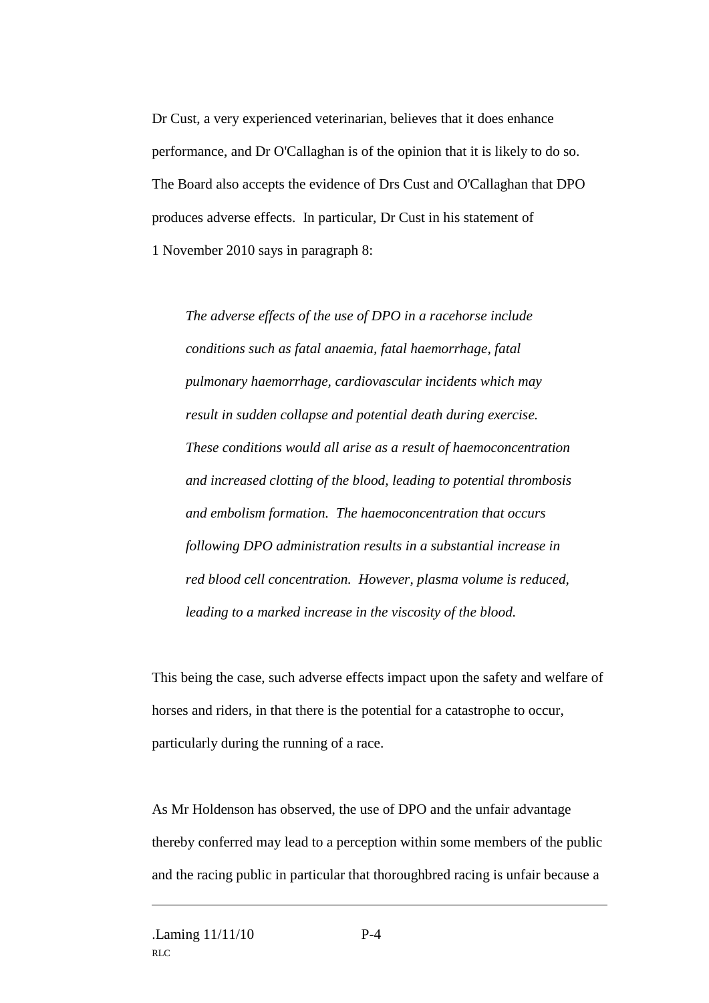Dr Cust, a very experienced veterinarian, believes that it does enhance performance, and Dr O'Callaghan is of the opinion that it is likely to do so. The Board also accepts the evidence of Drs Cust and O'Callaghan that DPO produces adverse effects. In particular, Dr Cust in his statement of 1 November 2010 says in paragraph 8:

*The adverse effects of the use of DPO in a racehorse include conditions such as fatal anaemia, fatal haemorrhage, fatal pulmonary haemorrhage, cardiovascular incidents which may result in sudden collapse and potential death during exercise. These conditions would all arise as a result of haemoconcentration and increased clotting of the blood, leading to potential thrombosis and embolism formation. The haemoconcentration that occurs following DPO administration results in a substantial increase in red blood cell concentration. However, plasma volume is reduced, leading to a marked increase in the viscosity of the blood.*

This being the case, such adverse effects impact upon the safety and welfare of horses and riders, in that there is the potential for a catastrophe to occur, particularly during the running of a race.

As Mr Holdenson has observed, the use of DPO and the unfair advantage thereby conferred may lead to a perception within some members of the public and the racing public in particular that thoroughbred racing is unfair because a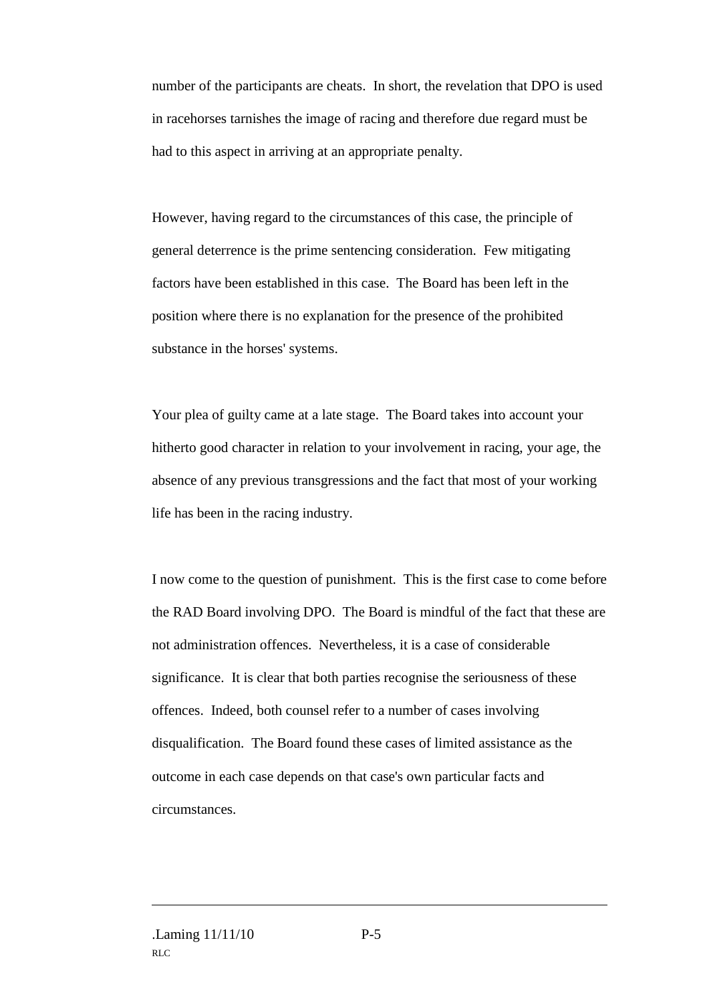number of the participants are cheats. In short, the revelation that DPO is used in racehorses tarnishes the image of racing and therefore due regard must be had to this aspect in arriving at an appropriate penalty.

However, having regard to the circumstances of this case, the principle of general deterrence is the prime sentencing consideration. Few mitigating factors have been established in this case. The Board has been left in the position where there is no explanation for the presence of the prohibited substance in the horses' systems.

Your plea of guilty came at a late stage. The Board takes into account your hitherto good character in relation to your involvement in racing, your age, the absence of any previous transgressions and the fact that most of your working life has been in the racing industry.

I now come to the question of punishment. This is the first case to come before the RAD Board involving DPO. The Board is mindful of the fact that these are not administration offences. Nevertheless, it is a case of considerable significance. It is clear that both parties recognise the seriousness of these offences. Indeed, both counsel refer to a number of cases involving disqualification. The Board found these cases of limited assistance as the outcome in each case depends on that case's own particular facts and circumstances.